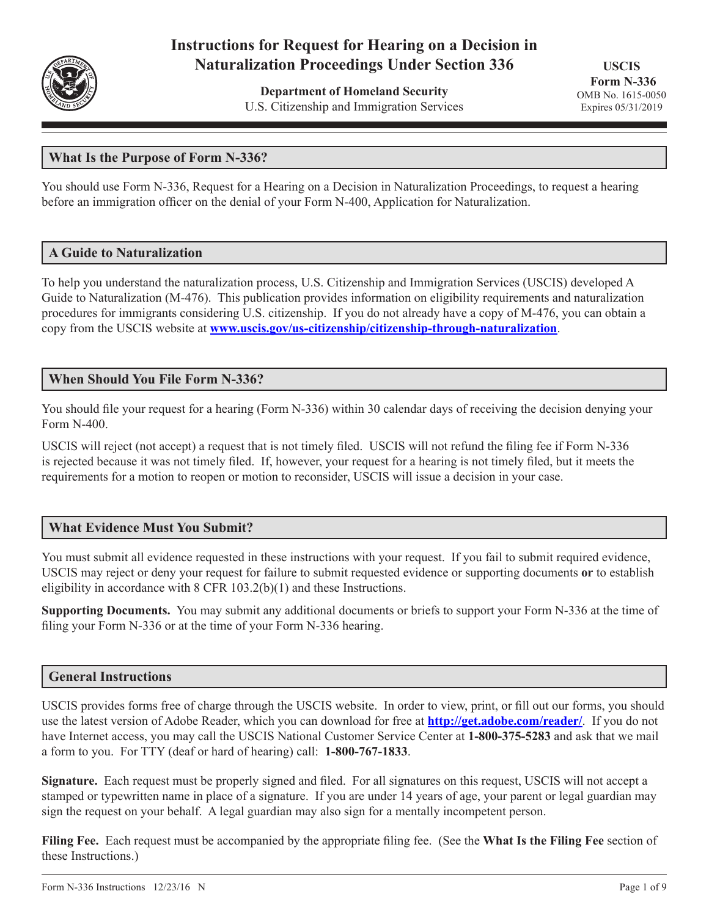

# **Instructions for Request for Hearing on a Decision in Naturalization Proceedings Under Section 336**

**Department of Homeland Security** U.S. Citizenship and Immigration Services

**USCIS Form N-336** OMB No. 1615-0050 Expires 05/31/2019

# **What Is the Purpose of Form N-336?**

You should use Form N-336, Request for a Hearing on a Decision in Naturalization Proceedings, to request a hearing before an immigration officer on the denial of your Form N-400, Application for Naturalization.

#### **A Guide to Naturalization**

To help you understand the naturalization process, U.S. Citizenship and Immigration Services (USCIS) developed A Guide to Naturalization (M-476). This publication provides information on eligibility requirements and naturalization procedures for immigrants considering U.S. citizenship. If you do not already have a copy of M-476, you can obtain a copy from the USCIS website at **www.uscis.gov/us-citizenship/citizenship-through-naturalization**.

#### **When Should You File Form N-336?**

You should file your request for a hearing (Form N-336) within 30 calendar days of receiving the decision denying your Form N-400.

USCIS will reject (not accept) a request that is not timely filed. USCIS will not refund the filing fee if Form N-336 is rejected because it was not timely filed. If, however, your request for a hearing is not timely filed, but it meets the requirements for a motion to reopen or motion to reconsider, USCIS will issue a decision in your case.

# **What Evidence Must You Submit?**

You must submit all evidence requested in these instructions with your request. If you fail to submit required evidence, USCIS may reject or deny your request for failure to submit requested evidence or supporting documents **or** to establish eligibility in accordance with 8 CFR 103.2(b)(1) and these Instructions.

**Supporting Documents.** You may submit any additional documents or briefs to support your Form N-336 at the time of filing your Form N-336 or at the time of your Form N-336 hearing.

#### **General Instructions**

USCIS provides forms free of charge through the USCIS website. In order to view, print, or fill out our forms, you should use the latest version of Adobe Reader, which you can download for free at **http://get.adobe.com/reader/**. If you do not have Internet access, you may call the USCIS National Customer Service Center at **1-800-375-5283** and ask that we mail a form to you. For TTY (deaf or hard of hearing) call: **1-800-767-1833**.

**Signature.** Each request must be properly signed and filed. For all signatures on this request, USCIS will not accept a stamped or typewritten name in place of a signature. If you are under 14 years of age, your parent or legal guardian may sign the request on your behalf. A legal guardian may also sign for a mentally incompetent person.

**Filing Fee.** Each request must be accompanied by the appropriate filing fee. (See the **What Is the Filing Fee** section of these Instructions.)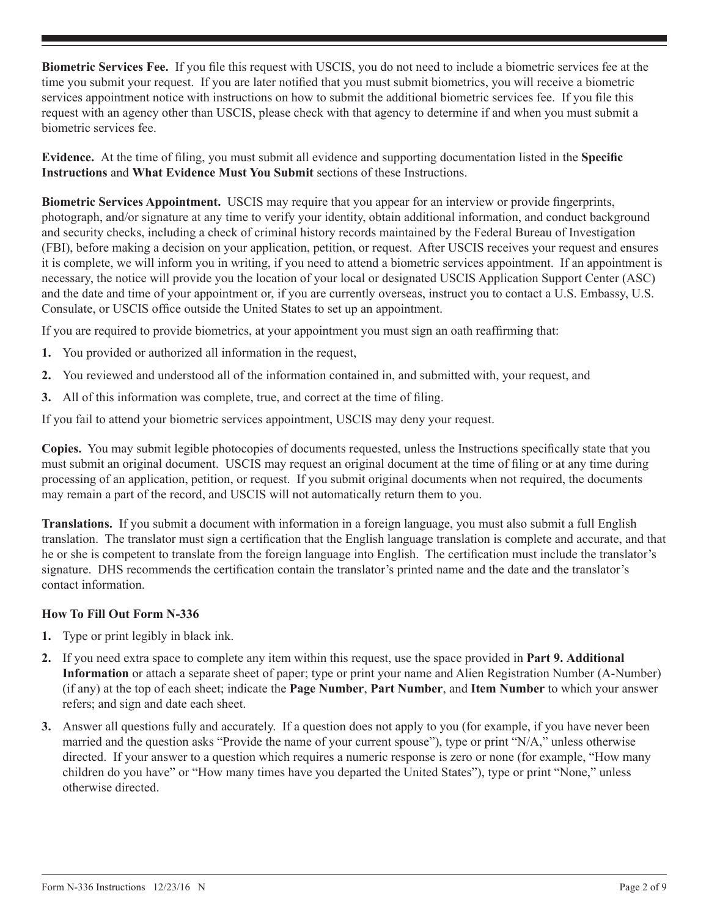**Biometric Services Fee.** If you file this request with USCIS, you do not need to include a biometric services fee at the time you submit your request. If you are later notified that you must submit biometrics, you will receive a biometric services appointment notice with instructions on how to submit the additional biometric services fee. If you file this request with an agency other than USCIS, please check with that agency to determine if and when you must submit a biometric services fee.

**Evidence.** At the time of filing, you must submit all evidence and supporting documentation listed in the **Specific Instructions** and **What Evidence Must You Submit** sections of these Instructions.

**Biometric Services Appointment.** USCIS may require that you appear for an interview or provide fingerprints, photograph, and/or signature at any time to verify your identity, obtain additional information, and conduct background and security checks, including a check of criminal history records maintained by the Federal Bureau of Investigation (FBI), before making a decision on your application, petition, or request. After USCIS receives your request and ensures it is complete, we will inform you in writing, if you need to attend a biometric services appointment. If an appointment is necessary, the notice will provide you the location of your local or designated USCIS Application Support Center (ASC) and the date and time of your appointment or, if you are currently overseas, instruct you to contact a U.S. Embassy, U.S. Consulate, or USCIS office outside the United States to set up an appointment.

If you are required to provide biometrics, at your appointment you must sign an oath reaffirming that:

- **1.** You provided or authorized all information in the request,
- **2.** You reviewed and understood all of the information contained in, and submitted with, your request, and
- **3.** All of this information was complete, true, and correct at the time of filing.

If you fail to attend your biometric services appointment, USCIS may deny your request.

**Copies.** You may submit legible photocopies of documents requested, unless the Instructions specifically state that you must submit an original document. USCIS may request an original document at the time of filing or at any time during processing of an application, petition, or request. If you submit original documents when not required, the documents may remain a part of the record, and USCIS will not automatically return them to you.

**Translations.** If you submit a document with information in a foreign language, you must also submit a full English translation. The translator must sign a certification that the English language translation is complete and accurate, and that he or she is competent to translate from the foreign language into English. The certification must include the translator's signature. DHS recommends the certification contain the translator's printed name and the date and the translator's contact information.

# **How To Fill Out Form N-336**

- **1.** Type or print legibly in black ink.
- **2.** If you need extra space to complete any item within this request, use the space provided in **Part 9. Additional Information** or attach a separate sheet of paper; type or print your name and Alien Registration Number (A-Number) (if any) at the top of each sheet; indicate the **Page Number**, **Part Number**, and **Item Number** to which your answer refers; and sign and date each sheet.
- **3.** Answer all questions fully and accurately. If a question does not apply to you (for example, if you have never been married and the question asks "Provide the name of your current spouse"), type or print "N/A," unless otherwise directed. If your answer to a question which requires a numeric response is zero or none (for example, "How many children do you have" or "How many times have you departed the United States"), type or print "None," unless otherwise directed.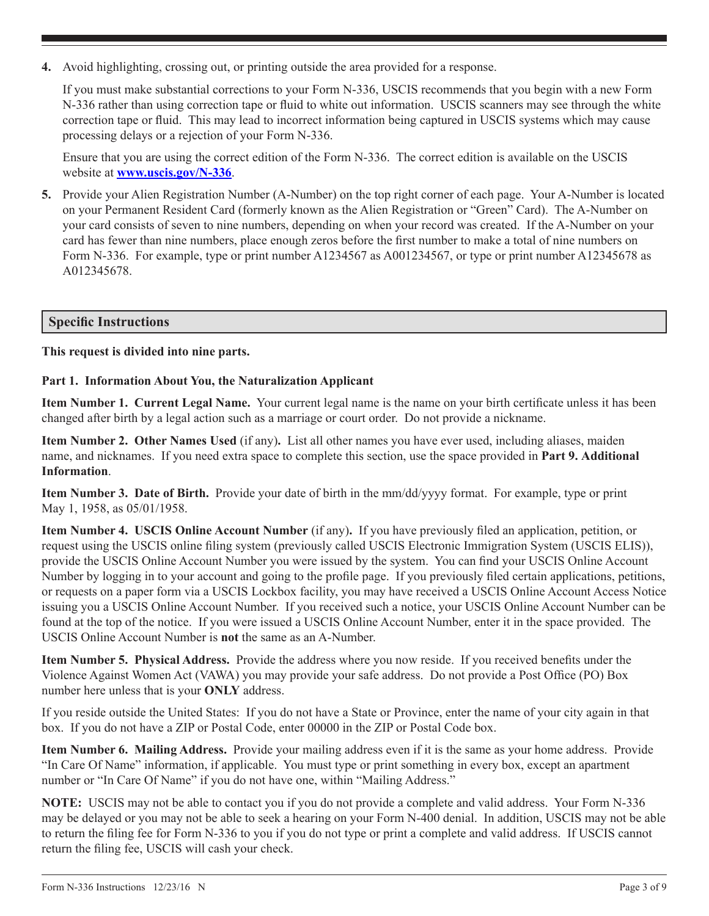**4.** Avoid highlighting, crossing out, or printing outside the area provided for a response.

If you must make substantial corrections to your Form N-336, USCIS recommends that you begin with a new Form N-336 rather than using correction tape or fluid to white out information. USCIS scanners may see through the white correction tape or fluid. This may lead to incorrect information being captured in USCIS systems which may cause processing delays or a rejection of your Form N-336.

Ensure that you are using the correct edition of the Form N-336. The correct edition is available on the USCIS website at **www.uscis.gov/N-336**.

**5.** Provide your Alien Registration Number (A-Number) on the top right corner of each page. Your A-Number is located on your Permanent Resident Card (formerly known as the Alien Registration or "Green" Card). The A-Number on your card consists of seven to nine numbers, depending on when your record was created. If the A-Number on your card has fewer than nine numbers, place enough zeros before the first number to make a total of nine numbers on Form N-336. For example, type or print number A1234567 as A001234567, or type or print number A12345678 as A012345678.

# **Specific Instructions**

#### **This request is divided into nine parts.**

#### **Part 1. Information About You, the Naturalization Applicant**

**Item Number 1. Current Legal Name.** Your current legal name is the name on your birth certificate unless it has been changed after birth by a legal action such as a marriage or court order. Do not provide a nickname.

**Item Number 2. Other Names Used** (if any)**.** List all other names you have ever used, including aliases, maiden name, and nicknames. If you need extra space to complete this section, use the space provided in **Part 9. Additional Information**.

**Item Number 3. Date of Birth.** Provide your date of birth in the mm/dd/yyyy format. For example, type or print May 1, 1958, as 05/01/1958.

**Item Number 4. USCIS Online Account Number** (if any)**.** If you have previously filed an application, petition, or request using the USCIS online filing system (previously called USCIS Electronic Immigration System (USCIS ELIS)), provide the USCIS Online Account Number you were issued by the system. You can find your USCIS Online Account Number by logging in to your account and going to the profile page. If you previously filed certain applications, petitions, or requests on a paper form via a USCIS Lockbox facility, you may have received a USCIS Online Account Access Notice issuing you a USCIS Online Account Number. If you received such a notice, your USCIS Online Account Number can be found at the top of the notice. If you were issued a USCIS Online Account Number, enter it in the space provided. The USCIS Online Account Number is **not** the same as an A-Number.

**Item Number 5. Physical Address.** Provide the address where you now reside. If you received benefits under the Violence Against Women Act (VAWA) you may provide your safe address. Do not provide a Post Office (PO) Box number here unless that is your **ONLY** address.

If you reside outside the United States: If you do not have a State or Province, enter the name of your city again in that box. If you do not have a ZIP or Postal Code, enter 00000 in the ZIP or Postal Code box.

**Item Number 6. Mailing Address.** Provide your mailing address even if it is the same as your home address. Provide "In Care Of Name" information, if applicable. You must type or print something in every box, except an apartment number or "In Care Of Name" if you do not have one, within "Mailing Address."

**NOTE:** USCIS may not be able to contact you if you do not provide a complete and valid address. Your Form N-336 may be delayed or you may not be able to seek a hearing on your Form N-400 denial. In addition, USCIS may not be able to return the filing fee for Form N-336 to you if you do not type or print a complete and valid address. If USCIS cannot return the filing fee, USCIS will cash your check.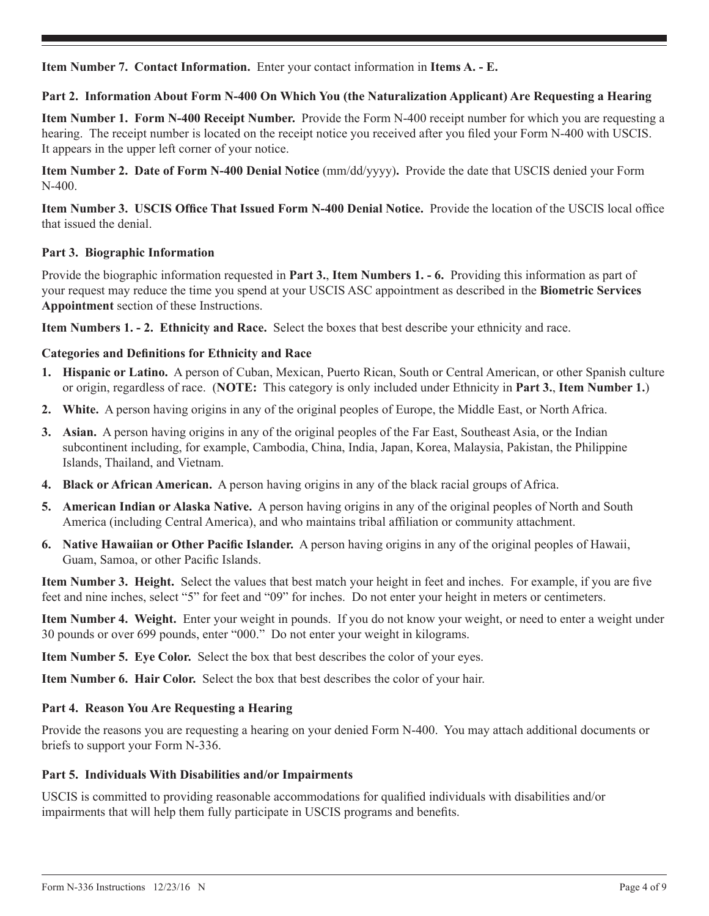**Item Number 7. Contact Information.** Enter your contact information in **Items A. - E.**

# **Part 2. Information About Form N-400 On Which You (the Naturalization Applicant) Are Requesting a Hearing**

**Item Number 1. Form N-400 Receipt Number.** Provide the Form N-400 receipt number for which you are requesting a hearing. The receipt number is located on the receipt notice you received after you filed your Form N-400 with USCIS. It appears in the upper left corner of your notice.

**Item Number 2. Date of Form N-400 Denial Notice** (mm/dd/yyyy)**.** Provide the date that USCIS denied your Form N-400.

**Item Number 3. USCIS Office That Issued Form N-400 Denial Notice.** Provide the location of the USCIS local office that issued the denial.

# **Part 3. Biographic Information**

Provide the biographic information requested in **Part 3.**, **Item Numbers 1. - 6.** Providing this information as part of your request may reduce the time you spend at your USCIS ASC appointment as described in the **Biometric Services Appointment** section of these Instructions.

**Item Numbers 1. - 2. Ethnicity and Race.** Select the boxes that best describe your ethnicity and race.

# **Categories and Definitions for Ethnicity and Race**

- **1. Hispanic or Latino.** A person of Cuban, Mexican, Puerto Rican, South or Central American, or other Spanish culture or origin, regardless of race. (**NOTE:** This category is only included under Ethnicity in **Part 3.**, **Item Number 1.**)
- **2. White.** A person having origins in any of the original peoples of Europe, the Middle East, or North Africa.
- **3. Asian.** A person having origins in any of the original peoples of the Far East, Southeast Asia, or the Indian subcontinent including, for example, Cambodia, China, India, Japan, Korea, Malaysia, Pakistan, the Philippine Islands, Thailand, and Vietnam.
- **4. Black or African American.** A person having origins in any of the black racial groups of Africa.
- **5. American Indian or Alaska Native.** A person having origins in any of the original peoples of North and South America (including Central America), and who maintains tribal affiliation or community attachment.
- **6. Native Hawaiian or Other Pacific Islander.** A person having origins in any of the original peoples of Hawaii, Guam, Samoa, or other Pacific Islands.

**Item Number 3. Height.** Select the values that best match your height in feet and inches. For example, if you are five feet and nine inches, select "5" for feet and "09" for inches. Do not enter your height in meters or centimeters.

**Item Number 4. Weight.** Enter your weight in pounds. If you do not know your weight, or need to enter a weight under 30 pounds or over 699 pounds, enter "000." Do not enter your weight in kilograms.

**Item Number 5. Eye Color.** Select the box that best describes the color of your eyes.

**Item Number 6. Hair Color.** Select the box that best describes the color of your hair.

#### **Part 4. Reason You Are Requesting a Hearing**

Provide the reasons you are requesting a hearing on your denied Form N-400. You may attach additional documents or briefs to support your Form N-336.

#### **Part 5. Individuals With Disabilities and/or Impairments**

USCIS is committed to providing reasonable accommodations for qualified individuals with disabilities and/or impairments that will help them fully participate in USCIS programs and benefits.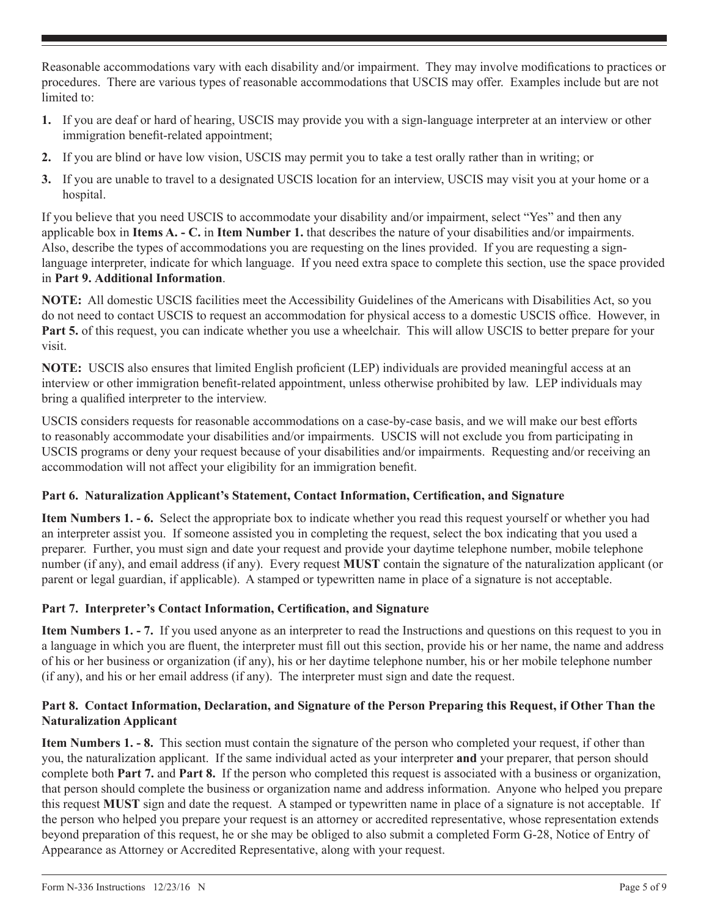Reasonable accommodations vary with each disability and/or impairment. They may involve modifications to practices or procedures. There are various types of reasonable accommodations that USCIS may offer. Examples include but are not limited to:

- **1.** If you are deaf or hard of hearing, USCIS may provide you with a sign-language interpreter at an interview or other immigration benefit-related appointment;
- **2.** If you are blind or have low vision, USCIS may permit you to take a test orally rather than in writing; or
- **3.** If you are unable to travel to a designated USCIS location for an interview, USCIS may visit you at your home or a hospital.

If you believe that you need USCIS to accommodate your disability and/or impairment, select "Yes" and then any applicable box in **Items A. - C.** in **Item Number 1.** that describes the nature of your disabilities and/or impairments. Also, describe the types of accommodations you are requesting on the lines provided. If you are requesting a signlanguage interpreter, indicate for which language. If you need extra space to complete this section, use the space provided in **Part 9. Additional Information**.

**NOTE:** All domestic USCIS facilities meet the Accessibility Guidelines of the Americans with Disabilities Act, so you do not need to contact USCIS to request an accommodation for physical access to a domestic USCIS office. However, in **Part 5.** of this request, you can indicate whether you use a wheelchair. This will allow USCIS to better prepare for your visit.

**NOTE:** USCIS also ensures that limited English proficient (LEP) individuals are provided meaningful access at an interview or other immigration benefit-related appointment, unless otherwise prohibited by law. LEP individuals may bring a qualified interpreter to the interview.

USCIS considers requests for reasonable accommodations on a case-by-case basis, and we will make our best efforts to reasonably accommodate your disabilities and/or impairments. USCIS will not exclude you from participating in USCIS programs or deny your request because of your disabilities and/or impairments. Requesting and/or receiving an accommodation will not affect your eligibility for an immigration benefit.

# **Part 6. Naturalization Applicant's Statement, Contact Information, Certification, and Signature**

**Item Numbers 1. - 6.** Select the appropriate box to indicate whether you read this request yourself or whether you had an interpreter assist you. If someone assisted you in completing the request, select the box indicating that you used a preparer. Further, you must sign and date your request and provide your daytime telephone number, mobile telephone number (if any), and email address (if any). Every request **MUST** contain the signature of the naturalization applicant (or parent or legal guardian, if applicable). A stamped or typewritten name in place of a signature is not acceptable.

# **Part 7. Interpreter's Contact Information, Certification, and Signature**

**Item Numbers 1. - 7.** If you used anyone as an interpreter to read the Instructions and questions on this request to you in a language in which you are fluent, the interpreter must fill out this section, provide his or her name, the name and address of his or her business or organization (if any), his or her daytime telephone number, his or her mobile telephone number (if any), and his or her email address (if any). The interpreter must sign and date the request.

# **Part 8. Contact Information, Declaration, and Signature of the Person Preparing this Request, if Other Than the Naturalization Applicant**

**Item Numbers 1. - 8.** This section must contain the signature of the person who completed your request, if other than you, the naturalization applicant. If the same individual acted as your interpreter **and** your preparer, that person should complete both **Part 7.** and **Part 8.** If the person who completed this request is associated with a business or organization, that person should complete the business or organization name and address information. Anyone who helped you prepare this request **MUST** sign and date the request. A stamped or typewritten name in place of a signature is not acceptable. If the person who helped you prepare your request is an attorney or accredited representative, whose representation extends beyond preparation of this request, he or she may be obliged to also submit a completed Form G-28, Notice of Entry of Appearance as Attorney or Accredited Representative, along with your request.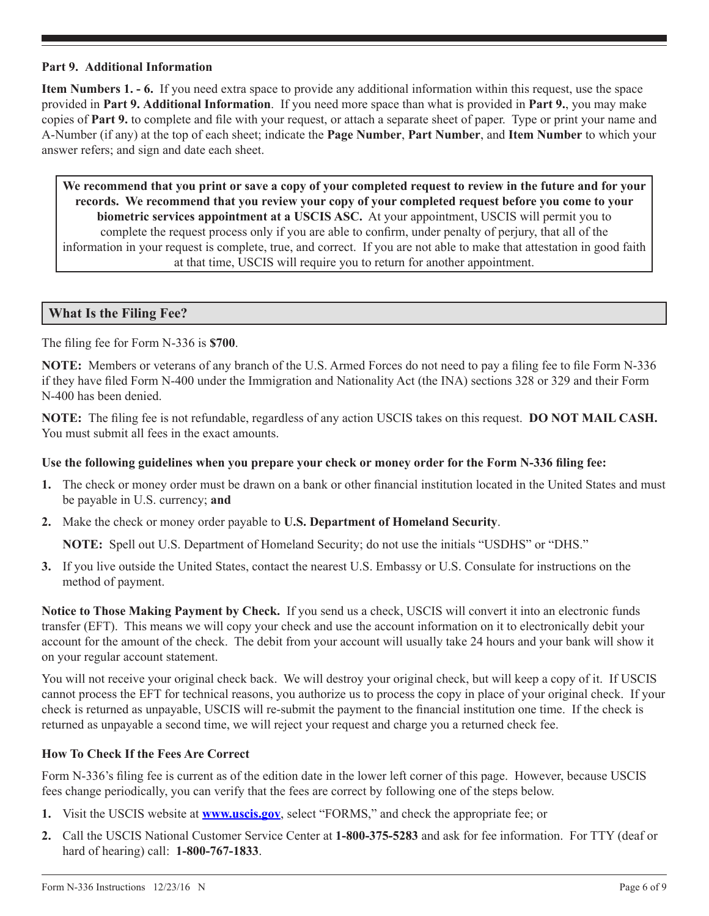#### **Part 9. Additional Information**

**Item Numbers 1. - 6.** If you need extra space to provide any additional information within this request, use the space provided in **Part 9. Additional Information**. If you need more space than what is provided in **Part 9.**, you may make copies of **Part 9.** to complete and file with your request, or attach a separate sheet of paper. Type or print your name and A-Number (if any) at the top of each sheet; indicate the **Page Number**, **Part Number**, and **Item Number** to which your answer refers; and sign and date each sheet.

**We recommend that you print or save a copy of your completed request to review in the future and for your records. We recommend that you review your copy of your completed request before you come to your biometric services appointment at a USCIS ASC.** At your appointment, USCIS will permit you to complete the request process only if you are able to confirm, under penalty of perjury, that all of the information in your request is complete, true, and correct. If you are not able to make that attestation in good faith at that time, USCIS will require you to return for another appointment.

#### **What Is the Filing Fee?**

The filing fee for Form N-336 is **\$700**.

**NOTE:** Members or veterans of any branch of the U.S. Armed Forces do not need to pay a filing fee to file Form N-336 if they have filed Form N-400 under the Immigration and Nationality Act (the INA) sections 328 or 329 and their Form N-400 has been denied.

**NOTE:** The filing fee is not refundable, regardless of any action USCIS takes on this request. **DO NOT MAIL CASH.** You must submit all fees in the exact amounts.

#### **Use the following guidelines when you prepare your check or money order for the Form N-336 filing fee:**

- **1.** The check or money order must be drawn on a bank or other financial institution located in the United States and must be payable in U.S. currency; **and**
- **2.** Make the check or money order payable to **U.S. Department of Homeland Security**.

**NOTE:** Spell out U.S. Department of Homeland Security; do not use the initials "USDHS" or "DHS."

**3.** If you live outside the United States, contact the nearest U.S. Embassy or U.S. Consulate for instructions on the method of payment.

**Notice to Those Making Payment by Check.** If you send us a check, USCIS will convert it into an electronic funds transfer (EFT). This means we will copy your check and use the account information on it to electronically debit your account for the amount of the check. The debit from your account will usually take 24 hours and your bank will show it on your regular account statement.

You will not receive your original check back. We will destroy your original check, but will keep a copy of it. If USCIS cannot process the EFT for technical reasons, you authorize us to process the copy in place of your original check. If your check is returned as unpayable, USCIS will re-submit the payment to the financial institution one time. If the check is returned as unpayable a second time, we will reject your request and charge you a returned check fee.

# **How To Check If the Fees Are Correct**

Form N-336's filing fee is current as of the edition date in the lower left corner of this page. However, because USCIS fees change periodically, you can verify that the fees are correct by following one of the steps below.

- **1.** Visit the USCIS website at **www.uscis.gov**, select "FORMS," and check the appropriate fee; or
- **2.** Call the USCIS National Customer Service Center at **1-800-375-5283** and ask for fee information. For TTY (deaf or hard of hearing) call: **1-800-767-1833**.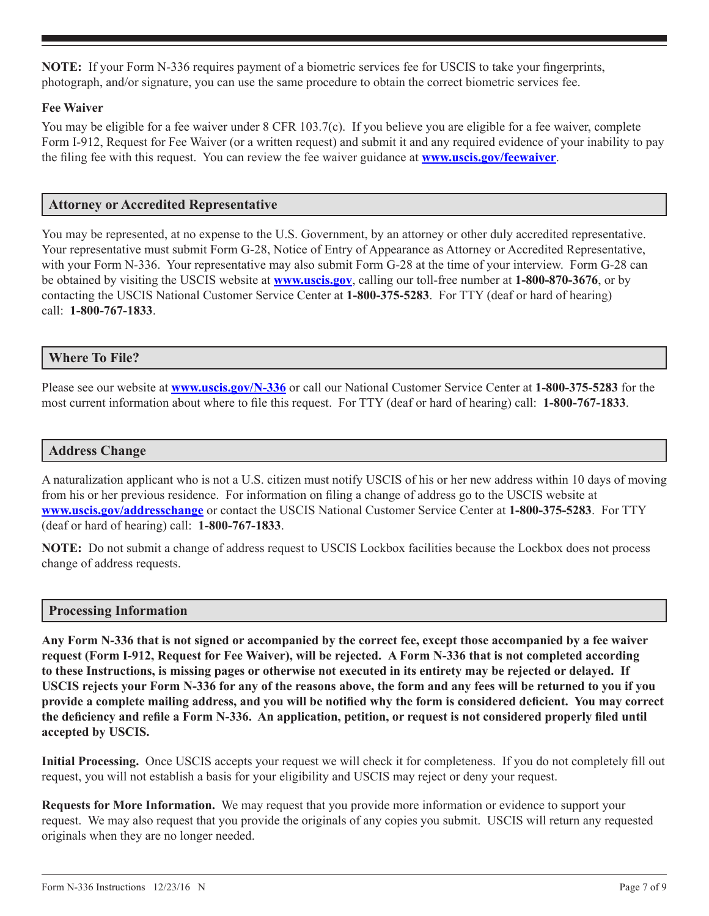**NOTE:** If your Form N-336 requires payment of a biometric services fee for USCIS to take your fingerprints, photograph, and/or signature, you can use the same procedure to obtain the correct biometric services fee.

# **Fee Waiver**

You may be eligible for a fee waiver under 8 CFR 103.7(c). If you believe you are eligible for a fee waiver, complete Form I-912, Request for Fee Waiver (or a written request) and submit it and any required evidence of your inability to pay the filing fee with this request. You can review the fee waiver guidance at **www.uscis.gov/feewaiver**.

# **Attorney or Accredited Representative**

You may be represented, at no expense to the U.S. Government, by an attorney or other duly accredited representative. Your representative must submit Form G-28, Notice of Entry of Appearance as Attorney or Accredited Representative, with your Form N-336. Your representative may also submit Form G-28 at the time of your interview. Form G-28 can be obtained by visiting the USCIS website at **www.uscis.gov**, calling our toll-free number at **1-800-870-3676**, or by contacting the USCIS National Customer Service Center at **1-800-375-5283**. For TTY (deaf or hard of hearing) call: **1-800-767-1833**.

# **Where To File?**

Please see our website at **www.uscis.gov/N-336** or call our National Customer Service Center at **1-800-375-5283** for the most current information about where to file this request. For TTY (deaf or hard of hearing) call: **1-800-767-1833**.

#### **Address Change**

A naturalization applicant who is not a U.S. citizen must notify USCIS of his or her new address within 10 days of moving from his or her previous residence. For information on filing a change of address go to the USCIS website at **<www.uscis.gov/addresschange>** or contact the USCIS National Customer Service Center at **1-800-375-5283**. For TTY (deaf or hard of hearing) call: **1-800-767-1833**.

**NOTE:** Do not submit a change of address request to USCIS Lockbox facilities because the Lockbox does not process change of address requests.

#### **Processing Information**

**Any Form N-336 that is not signed or accompanied by the correct fee, except those accompanied by a fee waiver request (Form I-912, Request for Fee Waiver), will be rejected. A Form N-336 that is not completed according to these Instructions, is missing pages or otherwise not executed in its entirety may be rejected or delayed. If USCIS rejects your Form N-336 for any of the reasons above, the form and any fees will be returned to you if you provide a complete mailing address, and you will be notified why the form is considered deficient. You may correct the deficiency and refile a Form N-336. An application, petition, or request is not considered properly filed until accepted by USCIS.**

**Initial Processing.** Once USCIS accepts your request we will check it for completeness. If you do not completely fill out request, you will not establish a basis for your eligibility and USCIS may reject or deny your request.

**Requests for More Information.** We may request that you provide more information or evidence to support your request. We may also request that you provide the originals of any copies you submit. USCIS will return any requested originals when they are no longer needed.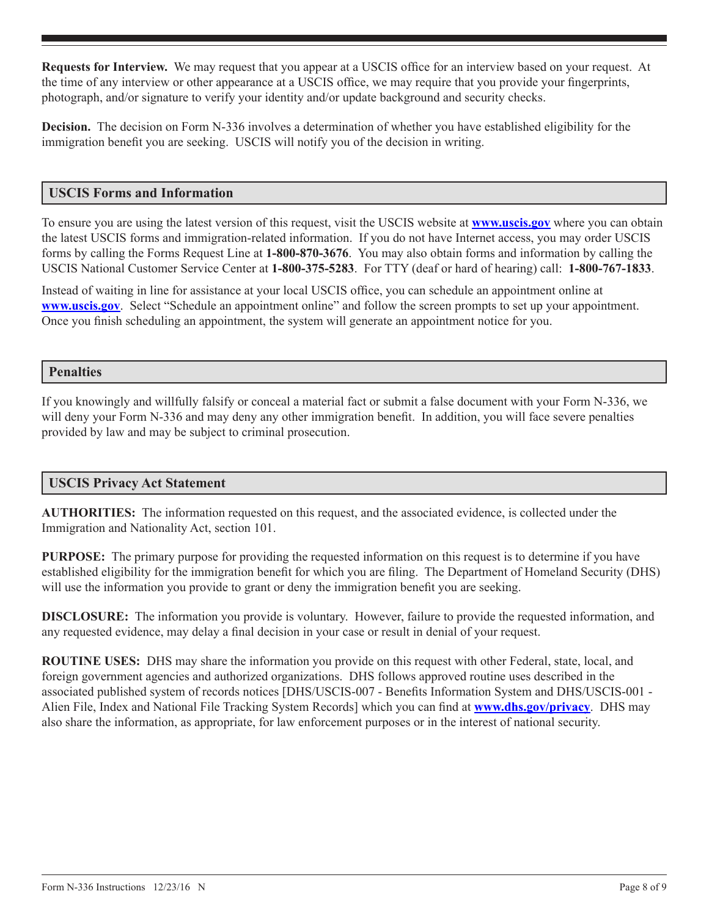**Requests for Interview.** We may request that you appear at a USCIS office for an interview based on your request. At the time of any interview or other appearance at a USCIS office, we may require that you provide your fingerprints, photograph, and/or signature to verify your identity and/or update background and security checks.

**Decision.** The decision on Form N-336 involves a determination of whether you have established eligibility for the immigration benefit you are seeking. USCIS will notify you of the decision in writing.

#### **USCIS Forms and Information**

To ensure you are using the latest version of this request, visit the USCIS website at **www.uscis.gov** where you can obtain the latest USCIS forms and immigration-related information. If you do not have Internet access, you may order USCIS forms by calling the Forms Request Line at **1-800-870-3676**. You may also obtain forms and information by calling the USCIS National Customer Service Center at **1-800-375-5283**. For TTY (deaf or hard of hearing) call: **1-800-767-1833**.

Instead of waiting in line for assistance at your local USCIS office, you can schedule an appointment online at **www.uscis.gov**. Select "Schedule an appointment online" and follow the screen prompts to set up your appointment. Once you finish scheduling an appointment, the system will generate an appointment notice for you.

#### **Penalties**

If you knowingly and willfully falsify or conceal a material fact or submit a false document with your Form N-336, we will deny your Form N-336 and may deny any other immigration benefit. In addition, you will face severe penalties provided by law and may be subject to criminal prosecution.

# **USCIS Privacy Act Statement**

**AUTHORITIES:** The information requested on this request, and the associated evidence, is collected under the Immigration and Nationality Act, section 101.

**PURPOSE:** The primary purpose for providing the requested information on this request is to determine if you have established eligibility for the immigration benefit for which you are filing. The Department of Homeland Security (DHS) will use the information you provide to grant or deny the immigration benefit you are seeking.

**DISCLOSURE:** The information you provide is voluntary. However, failure to provide the requested information, and any requested evidence, may delay a final decision in your case or result in denial of your request.

**ROUTINE USES:** DHS may share the information you provide on this request with other Federal, state, local, and foreign government agencies and authorized organizations. DHS follows approved routine uses described in the associated published system of records notices [DHS/USCIS-007 - Benefits Information System and DHS/USCIS-001 - Alien File, Index and National File Tracking System Records] which you can find at **www.dhs.gov/privacy**. DHS may also share the information, as appropriate, for law enforcement purposes or in the interest of national security.